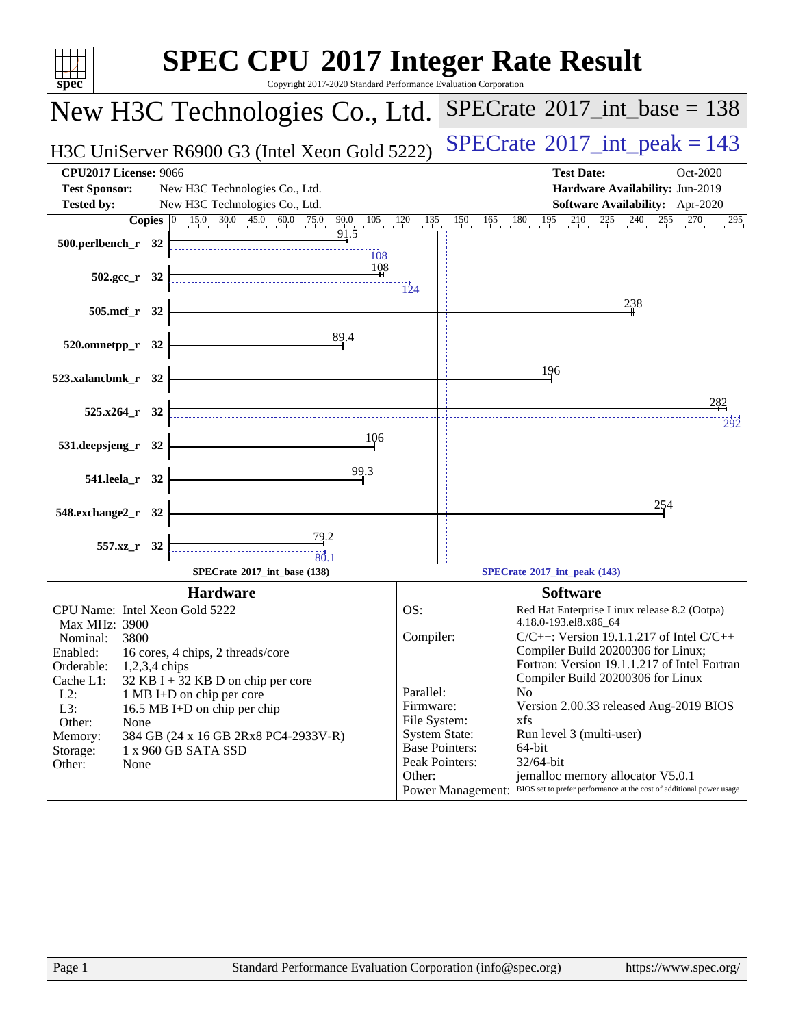| $spec^*$                                                                                                                                                                                                                                                                                                                                                                                                       | <b>SPEC CPU®2017 Integer Rate Result</b><br>Copyright 2017-2020 Standard Performance Evaluation Corporation                                                                                                                                                                                                                                                                                                                                                                                                                                                                                                                                                |
|----------------------------------------------------------------------------------------------------------------------------------------------------------------------------------------------------------------------------------------------------------------------------------------------------------------------------------------------------------------------------------------------------------------|------------------------------------------------------------------------------------------------------------------------------------------------------------------------------------------------------------------------------------------------------------------------------------------------------------------------------------------------------------------------------------------------------------------------------------------------------------------------------------------------------------------------------------------------------------------------------------------------------------------------------------------------------------|
| New H3C Technologies Co., Ltd.                                                                                                                                                                                                                                                                                                                                                                                 | $SPECrate^{\circledast}2017\_int\_base = 138$                                                                                                                                                                                                                                                                                                                                                                                                                                                                                                                                                                                                              |
| H3C UniServer R6900 G3 (Intel Xeon Gold 5222)                                                                                                                                                                                                                                                                                                                                                                  | $SPECrate^{\circ}2017\_int\_peak = 143$                                                                                                                                                                                                                                                                                                                                                                                                                                                                                                                                                                                                                    |
| <b>CPU2017 License: 9066</b><br><b>Test Sponsor:</b><br>New H3C Technologies Co., Ltd.<br><b>Tested by:</b><br>New H3C Technologies Co., Ltd.<br>90.0 $105 \t 120 \t 135$<br>$15.0$ $30.0$ $45.0$ $60.0$ $75.0$<br>Copies $ 0\rangle$                                                                                                                                                                          | <b>Test Date:</b><br>Oct-2020<br>Hardware Availability: Jun-2019<br>Software Availability: Apr-2020<br>$150$ $165$ $180$ $195$ $210$ $225$ $240$ $255$ $270$<br>270<br>295                                                                                                                                                                                                                                                                                                                                                                                                                                                                                 |
| 91.5<br>500.perlbench_r 32<br>108<br>108<br>502.gcc_r 32                                                                                                                                                                                                                                                                                                                                                       | 124                                                                                                                                                                                                                                                                                                                                                                                                                                                                                                                                                                                                                                                        |
| 505.mcf_r 32                                                                                                                                                                                                                                                                                                                                                                                                   | 238                                                                                                                                                                                                                                                                                                                                                                                                                                                                                                                                                                                                                                                        |
| 89.4<br>520.omnetpp_r 32<br>523.xalancbmk_r 32                                                                                                                                                                                                                                                                                                                                                                 | 196                                                                                                                                                                                                                                                                                                                                                                                                                                                                                                                                                                                                                                                        |
| $525.x264$ r 32                                                                                                                                                                                                                                                                                                                                                                                                | 282                                                                                                                                                                                                                                                                                                                                                                                                                                                                                                                                                                                                                                                        |
| 106<br>531.deepsjeng_r 32                                                                                                                                                                                                                                                                                                                                                                                      | 292                                                                                                                                                                                                                                                                                                                                                                                                                                                                                                                                                                                                                                                        |
| 99.3<br>541.leela_r 32                                                                                                                                                                                                                                                                                                                                                                                         |                                                                                                                                                                                                                                                                                                                                                                                                                                                                                                                                                                                                                                                            |
| 548.exchange2_r 32                                                                                                                                                                                                                                                                                                                                                                                             | 254                                                                                                                                                                                                                                                                                                                                                                                                                                                                                                                                                                                                                                                        |
| <u>79.2</u><br>557.xz_r 32<br>80.1<br>SPECrate®2017 int base (138)                                                                                                                                                                                                                                                                                                                                             | SPECrate®2017_int_peak (143)                                                                                                                                                                                                                                                                                                                                                                                                                                                                                                                                                                                                                               |
| <b>Hardware</b>                                                                                                                                                                                                                                                                                                                                                                                                | <b>Software</b>                                                                                                                                                                                                                                                                                                                                                                                                                                                                                                                                                                                                                                            |
| CPU Name: Intel Xeon Gold 5222<br>Max MHz: 3900<br>3800<br>Nominal:<br>Enabled:<br>16 cores, 4 chips, 2 threads/core<br>Orderable:<br>1,2,3,4 chips<br>Cache L1:<br>32 KB I + 32 KB D on chip per core<br>$L2$ :<br>1 MB I+D on chip per core<br>L3:<br>16.5 MB I+D on chip per chip<br>Other:<br>None<br>384 GB (24 x 16 GB 2Rx8 PC4-2933V-R)<br>Memory:<br>1 x 960 GB SATA SSD<br>Storage:<br>Other:<br>None | OS:<br>Red Hat Enterprise Linux release 8.2 (Ootpa)<br>4.18.0-193.el8.x86 64<br>Compiler:<br>$C/C++$ : Version 19.1.1.217 of Intel $C/C++$<br>Compiler Build 20200306 for Linux;<br>Fortran: Version 19.1.1.217 of Intel Fortran<br>Compiler Build 20200306 for Linux<br>Parallel:<br>N <sub>0</sub><br>Firmware:<br>Version 2.00.33 released Aug-2019 BIOS<br>File System:<br>xfs<br><b>System State:</b><br>Run level 3 (multi-user)<br><b>Base Pointers:</b><br>64-bit<br>Peak Pointers:<br>32/64-bit<br>jemalloc memory allocator V5.0.1<br>Other:<br>BIOS set to prefer performance at the cost of additional power usage<br><b>Power Management:</b> |
| Page 1                                                                                                                                                                                                                                                                                                                                                                                                         | Standard Performance Evaluation Corporation (info@spec.org)<br>https://www.spec.org/                                                                                                                                                                                                                                                                                                                                                                                                                                                                                                                                                                       |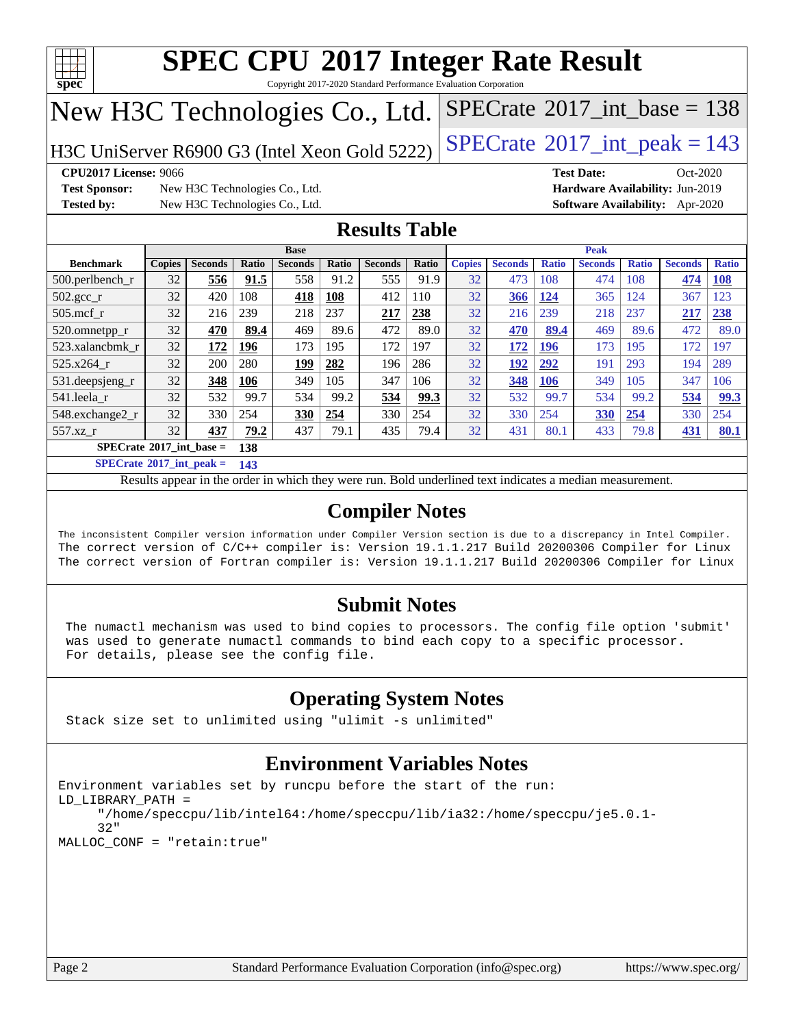

Copyright 2017-2020 Standard Performance Evaluation Corporation

# New H3C Technologies Co., Ltd.

H3C UniServer R6900 G3 (Intel Xeon Gold 5222)  $\left|$  [SPECrate](http://www.spec.org/auto/cpu2017/Docs/result-fields.html#SPECrate2017intpeak)®[2017\\_int\\_peak = 1](http://www.spec.org/auto/cpu2017/Docs/result-fields.html#SPECrate2017intpeak)43

 $SPECTate@2017_int\_base = 138$ 

**[Test Sponsor:](http://www.spec.org/auto/cpu2017/Docs/result-fields.html#TestSponsor)** New H3C Technologies Co., Ltd. **[Hardware Availability:](http://www.spec.org/auto/cpu2017/Docs/result-fields.html#HardwareAvailability)** Jun-2019 **[Tested by:](http://www.spec.org/auto/cpu2017/Docs/result-fields.html#Testedby)** New H3C Technologies Co., Ltd. **[Software Availability:](http://www.spec.org/auto/cpu2017/Docs/result-fields.html#SoftwareAvailability)** Apr-2020

**[CPU2017 License:](http://www.spec.org/auto/cpu2017/Docs/result-fields.html#CPU2017License)** 9066 **[Test Date:](http://www.spec.org/auto/cpu2017/Docs/result-fields.html#TestDate)** Oct-2020

### **[Results Table](http://www.spec.org/auto/cpu2017/Docs/result-fields.html#ResultsTable)**

|                                   | <b>Base</b>   |                |       |                | <b>Peak</b> |                |       |               |                |              |                |              |                |              |
|-----------------------------------|---------------|----------------|-------|----------------|-------------|----------------|-------|---------------|----------------|--------------|----------------|--------------|----------------|--------------|
| <b>Benchmark</b>                  | <b>Copies</b> | <b>Seconds</b> | Ratio | <b>Seconds</b> | Ratio       | <b>Seconds</b> | Ratio | <b>Copies</b> | <b>Seconds</b> | <b>Ratio</b> | <b>Seconds</b> | <b>Ratio</b> | <b>Seconds</b> | <b>Ratio</b> |
| 500.perlbench_r                   | 32            | 556            | 91.5  | 558            | 91.2        | 555            | 91.9  | 32            | 473            | 108          | 474            | 108          | 474            | <b>108</b>   |
| $502.\text{gcc}_{r}$              | 32            | 420            | 108   | 418            | 108         | 412            | 110   | 32            | 366            | 124          | 365            | 124          | 367            | 123          |
| $505$ .mcf r                      | 32            | 216            | 239   | 218            | 237         | 217            | 238   | 32            | 216            | 239          | 218            | 237          | 217            | 238          |
| 520.omnetpp_r                     | 32            | 470            | 89.4  | 469            | 89.6        | 472            | 89.0  | 32            | 470            | 89.4         | 469            | 89.6         | 472            | 89.0         |
| 523.xalancbmk r                   | 32            | 172            | 196   | 173            | 195         | 172            | 197   | 32            | 172            | <b>196</b>   | 173            | 195          | 172            | 197          |
| $525.x264$ r                      | 32            | 200            | 280   | 199            | 282         | 196            | 286   | 32            | 192            | 292          | 191            | 293          | 194            | 289          |
| 531.deepsjeng_r                   | 32            | 348            | 106   | 349            | 105         | 347            | 106   | 32            | 348            | 106          | 349            | 105          | 347            | 106          |
| 541.leela r                       | 32            | 532            | 99.7  | 534            | 99.2        | 534            | 99.3  | 32            | 532            | 99.7         | 534            | 99.2         | 534            | 99.3         |
| 548.exchange2_r                   | 32            | 330            | 254   | 330            | 254         | 330            | 254   | 32            | 330            | 254          | 330            | 254          | 330            | 254          |
| 557.xz r                          | 32            | 437            | 79.2  | 437            | 79.1        | 435            | 79.4  | 32            | 431            | 80.1         | 433            | 79.8         | 431            | 80.1         |
| $SPECrate^{\circ}2017$ int base = |               |                | 138   |                |             |                |       |               |                |              |                |              |                |              |

**[SPECrate](http://www.spec.org/auto/cpu2017/Docs/result-fields.html#SPECrate2017intpeak)[2017\\_int\\_peak =](http://www.spec.org/auto/cpu2017/Docs/result-fields.html#SPECrate2017intpeak) 143**

Results appear in the [order in which they were run.](http://www.spec.org/auto/cpu2017/Docs/result-fields.html#RunOrder) Bold underlined text [indicates a median measurement.](http://www.spec.org/auto/cpu2017/Docs/result-fields.html#Median)

### **[Compiler Notes](http://www.spec.org/auto/cpu2017/Docs/result-fields.html#CompilerNotes)**

The inconsistent Compiler version information under Compiler Version section is due to a discrepancy in Intel Compiler. The correct version of C/C++ compiler is: Version 19.1.1.217 Build 20200306 Compiler for Linux The correct version of Fortran compiler is: Version 19.1.1.217 Build 20200306 Compiler for Linux

#### **[Submit Notes](http://www.spec.org/auto/cpu2017/Docs/result-fields.html#SubmitNotes)**

 The numactl mechanism was used to bind copies to processors. The config file option 'submit' was used to generate numactl commands to bind each copy to a specific processor. For details, please see the config file.

### **[Operating System Notes](http://www.spec.org/auto/cpu2017/Docs/result-fields.html#OperatingSystemNotes)**

Stack size set to unlimited using "ulimit -s unlimited"

### **[Environment Variables Notes](http://www.spec.org/auto/cpu2017/Docs/result-fields.html#EnvironmentVariablesNotes)**

```
Environment variables set by runcpu before the start of the run:
LD_LIBRARY_PATH =
      "/home/speccpu/lib/intel64:/home/speccpu/lib/ia32:/home/speccpu/je5.0.1-
      32"
MALLOC_CONF = "retain:true"
```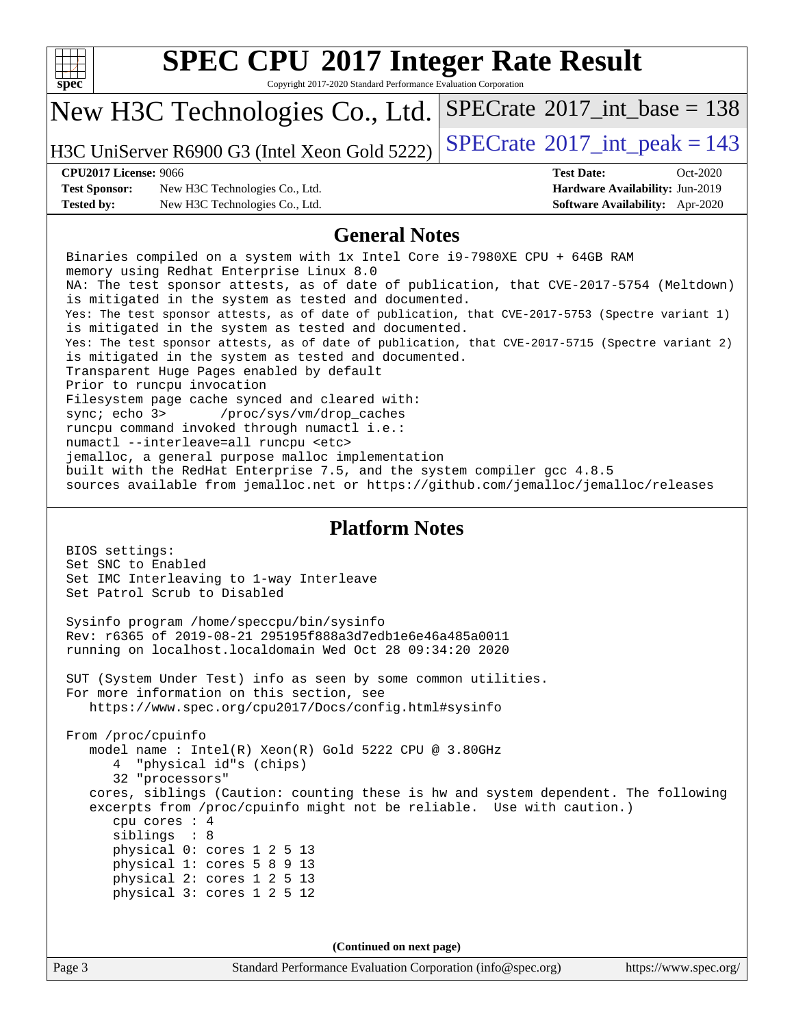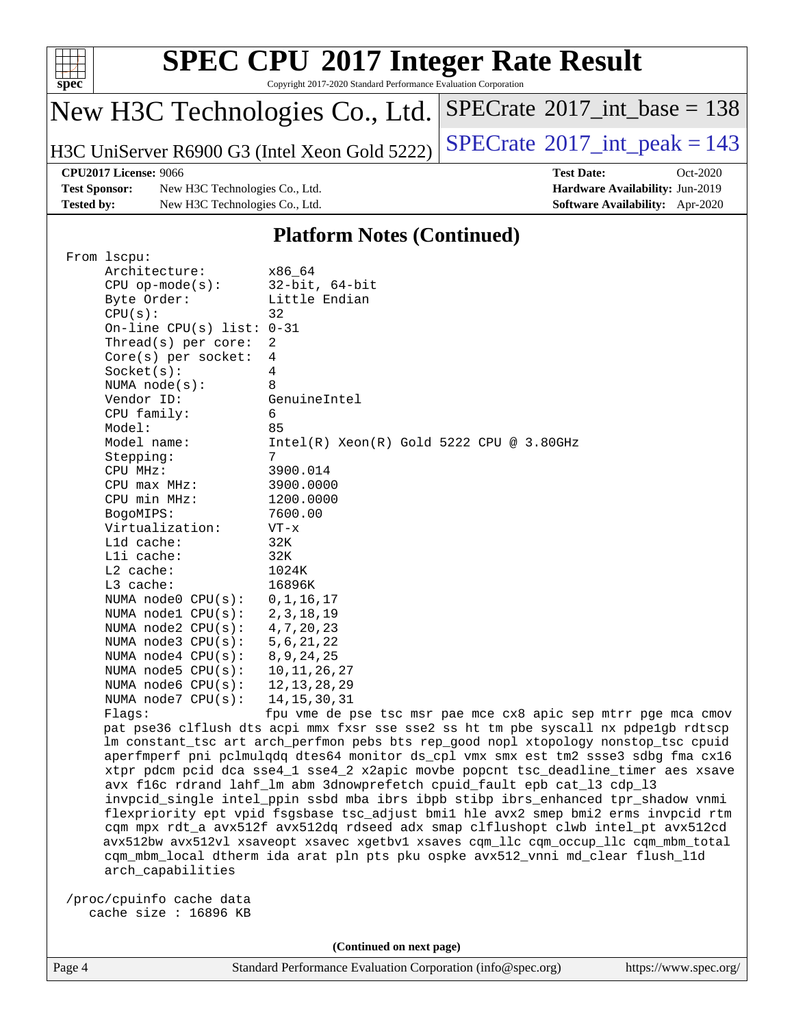

Copyright 2017-2020 Standard Performance Evaluation Corporation

# New H3C Technologies Co., Ltd.

H3C UniServer R6900 G3 (Intel Xeon Gold 5222) [SPECrate](http://www.spec.org/auto/cpu2017/Docs/result-fields.html#SPECrate2017intpeak)<sup>®</sup>[2017\\_int\\_peak = 1](http://www.spec.org/auto/cpu2017/Docs/result-fields.html#SPECrate2017intpeak)43

 $SPECrate$ <sup>®</sup>[2017\\_int\\_base =](http://www.spec.org/auto/cpu2017/Docs/result-fields.html#SPECrate2017intbase) 138

#### **[CPU2017 License:](http://www.spec.org/auto/cpu2017/Docs/result-fields.html#CPU2017License)** 9066 **[Test Date:](http://www.spec.org/auto/cpu2017/Docs/result-fields.html#TestDate)** Oct-2020

**[Test Sponsor:](http://www.spec.org/auto/cpu2017/Docs/result-fields.html#TestSponsor)** New H3C Technologies Co., Ltd. **[Hardware Availability:](http://www.spec.org/auto/cpu2017/Docs/result-fields.html#HardwareAvailability)** Jun-2019 **[Tested by:](http://www.spec.org/auto/cpu2017/Docs/result-fields.html#Testedby)** New H3C Technologies Co., Ltd. **[Software Availability:](http://www.spec.org/auto/cpu2017/Docs/result-fields.html#SoftwareAvailability)** Apr-2020

#### **[Platform Notes \(Continued\)](http://www.spec.org/auto/cpu2017/Docs/result-fields.html#PlatformNotes)**

| From 1scpu:                 |                                                                                      |
|-----------------------------|--------------------------------------------------------------------------------------|
| Architecture:               | x86 64                                                                               |
| $CPU$ op-mode( $s$ ):       | $32$ -bit, $64$ -bit                                                                 |
| Byte Order:                 | Little Endian                                                                        |
| CPU(s):                     | 32                                                                                   |
| On-line CPU(s) list: $0-31$ |                                                                                      |
| Thread(s) per core:         | 2                                                                                    |
| $Core(s)$ per socket:       | 4                                                                                    |
| Socket(s):                  | 4                                                                                    |
| NUMA $node(s)$ :            | 8                                                                                    |
| Vendor ID:                  | GenuineIntel                                                                         |
| CPU family:                 | 6                                                                                    |
| Model:                      | 85                                                                                   |
| Model name:                 | $Intel(R)$ Xeon $(R)$ Gold 5222 CPU @ 3.80GHz                                        |
| Stepping:                   | 7                                                                                    |
| CPU MHz:                    | 3900.014                                                                             |
| $CPU$ max $MHz$ :           | 3900.0000                                                                            |
| CPU min MHz:                | 1200.0000                                                                            |
| BogoMIPS:                   | 7600.00                                                                              |
| Virtualization:             | $VT - x$                                                                             |
| L1d cache:                  | 32K                                                                                  |
|                             |                                                                                      |
| Lli cache:                  | 32K                                                                                  |
| $L2$ cache:                 | 1024K                                                                                |
| $L3$ cache:                 | 16896K                                                                               |
| NUMA $node0$ $CPU(s):$      | 0, 1, 16, 17                                                                         |
| NUMA $node1$ $CPU(s)$ :     | 2, 3, 18, 19                                                                         |
| NUMA node2 CPU(s):          | 4, 7, 20, 23                                                                         |
| NUMA $node3$ CPU $(s)$ :    | 5, 6, 21, 22                                                                         |
| NUMA $node4$ $CPU(s)$ :     | 8, 9, 24, 25                                                                         |
| NUMA $node5$ $CPU(s):$      | 10, 11, 26, 27                                                                       |
| NUMA $node6$ $CPU(s):$      | 12, 13, 28, 29                                                                       |
| NUMA $node7$ CPU $(s)$ :    | 14, 15, 30, 31                                                                       |
| Flags:                      | fpu vme de pse tsc msr pae mce cx8 apic sep mtrr pge mca cmov                        |
|                             | pat pse36 clflush dts acpi mmx fxsr sse sse2 ss ht tm pbe syscall nx pdpelgb rdtscp  |
|                             | lm constant_tsc art arch_perfmon pebs bts rep_good nopl xtopology nonstop_tsc cpuid  |
|                             | aperfmperf pni pclmulqdq dtes64 monitor ds_cpl vmx smx est tm2 ssse3 sdbg fma cx16   |
|                             | xtpr pdcm pcid dca sse4_1 sse4_2 x2apic movbe popcnt tsc_deadline_timer aes xsave    |
|                             | avx f16c rdrand lahf_lm abm 3dnowprefetch cpuid_fault epb cat_13 cdp_13              |
|                             | invpcid_single intel_ppin ssbd mba ibrs ibpb stibp ibrs_enhanced tpr_shadow vnmi     |
|                             | flexpriority ept vpid fsgsbase tsc_adjust bmil hle avx2 smep bmi2 erms invpcid rtm   |
|                             | cqm mpx rdt_a avx512f avx512dq rdseed adx smap clflushopt clwb intel_pt avx512cd     |
|                             | avx512bw avx512vl xsaveopt xsavec xgetbvl xsaves cqm_llc cqm_occup_llc cqm_mbm_total |
|                             | cqm_mbm_local dtherm ida arat pln pts pku ospke avx512_vnni md_clear flush_l1d       |
| arch_capabilities           |                                                                                      |
|                             |                                                                                      |
| /proc/cpuinfo cache data    |                                                                                      |
| cache size: 16896 KB        |                                                                                      |
|                             |                                                                                      |

**(Continued on next page)**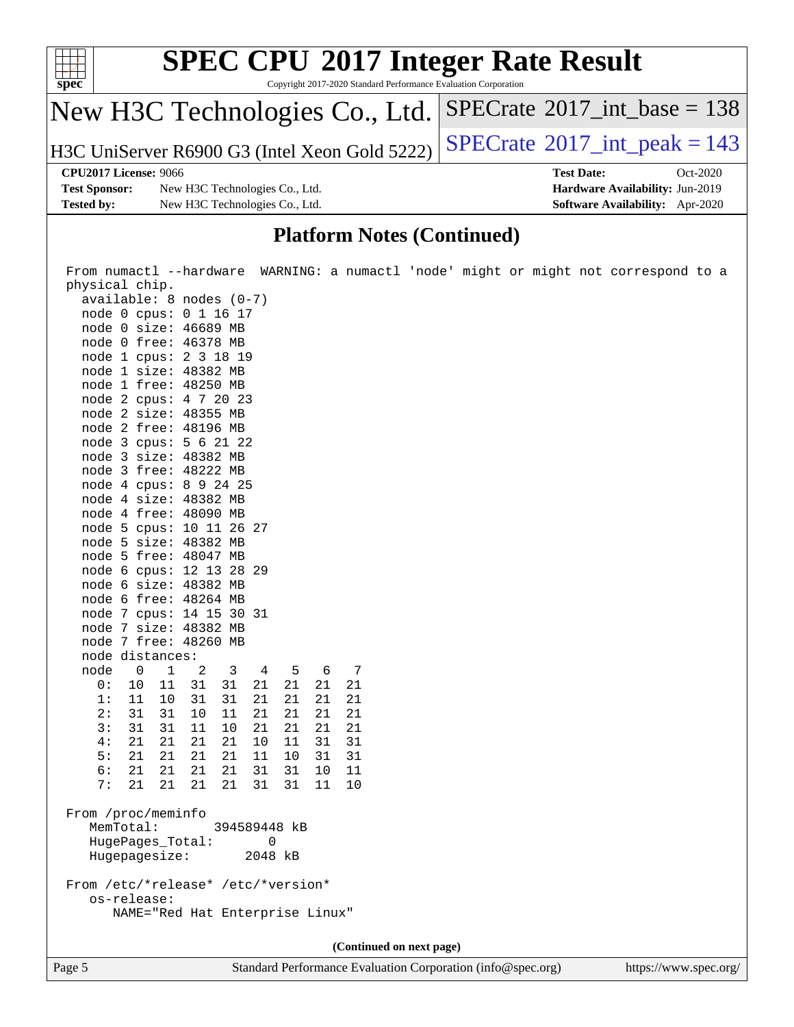| <b>SPEC CPU®2017 Integer Rate Result</b><br>$\frac{1}{\text{spec}^*}$<br>Copyright 2017-2020 Standard Performance Evaluation Corporation |                                               |                                             |            |  |  |  |
|------------------------------------------------------------------------------------------------------------------------------------------|-----------------------------------------------|---------------------------------------------|------------|--|--|--|
|                                                                                                                                          | New H3C Technologies Co., Ltd.                | $SPECrate^{\circ}2017\_int\_base = 138$     |            |  |  |  |
|                                                                                                                                          | H3C UniServer R6900 G3 (Intel Xeon Gold 5222) | $SPECTate$ <sup>®</sup> 2017_int_peak = 143 |            |  |  |  |
| CPU2017 License: 9066                                                                                                                    |                                               | <b>Test Date:</b>                           | $Oct-2020$ |  |  |  |
| <b>Test Sponsor:</b>                                                                                                                     | New H3C Technologies Co., Ltd.                | Hardware Availability: Jun-2019             |            |  |  |  |
| <b>Tested by:</b>                                                                                                                        | New H3C Technologies Co., Ltd.                | <b>Software Availability:</b> Apr-2020      |            |  |  |  |

#### **[Platform Notes \(Continued\)](http://www.spec.org/auto/cpu2017/Docs/result-fields.html#PlatformNotes)**

 From numactl --hardware WARNING: a numactl 'node' might or might not correspond to a physical chip. available: 8 nodes (0-7) node 0 cpus: 0 1 16 17 node 0 size: 46689 MB node 0 free: 46378 MB node 1 cpus: 2 3 18 19 node 1 size: 48382 MB node 1 free: 48250 MB node 2 cpus: 4 7 20 23 node 2 size: 48355 MB node 2 free: 48196 MB node 3 cpus: 5 6 21 22 node 3 size: 48382 MB node 3 free: 48222 MB node 4 cpus: 8 9 24 25 node 4 size: 48382 MB node 4 free: 48090 MB node 5 cpus: 10 11 26 27 node 5 size: 48382 MB node 5 free: 48047 MB node 6 cpus: 12 13 28 29 node 6 size: 48382 MB node 6 free: 48264 MB node 7 cpus: 14 15 30 31 node 7 size: 48382 MB node 7 free: 48260 MB node distances: node 0 1 2 3 4 5 6 7<br>0: 10 11 31 31 21 21 21 21 0: 10 11 31 31 21 21 21 21 1: 11 10 31 31 21 21 21 21 2: 31 31 10 11 21 21 21 21 3: 31 31 11 10 21 21 21 21 4: 21 21 21 21 10 11 31 31 5: 21 21 21 21 11 10 31 31 6: 21 21 21 21 31 31 10 11 7: 21 21 21 21 31 31 11 10 From /proc/meminfo MemTotal: 394589448 kB HugePages\_Total: 0 Hugepagesize: 2048 kB From /etc/\*release\* /etc/\*version\* os-release: NAME="Red Hat Enterprise Linux" **(Continued on next page)**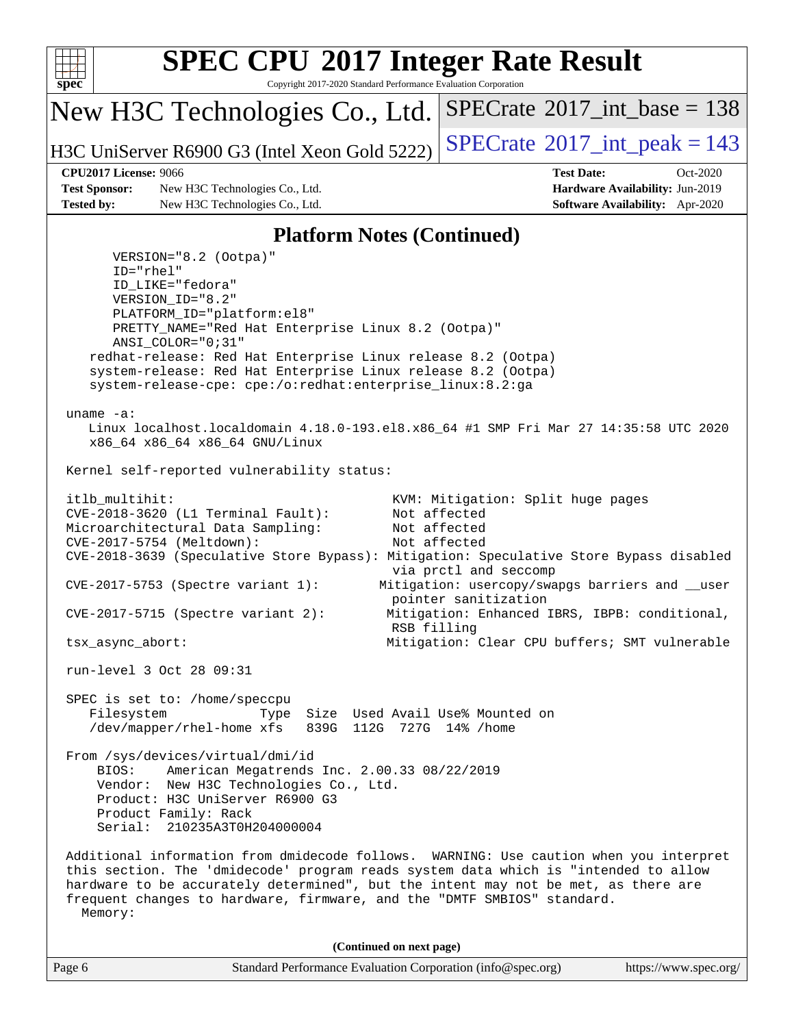

Copyright 2017-2020 Standard Performance Evaluation Corporation

New H3C Technologies Co., Ltd.

H3C UniServer R6900 G3 (Intel Xeon Gold 5222) [SPECrate](http://www.spec.org/auto/cpu2017/Docs/result-fields.html#SPECrate2017intpeak)<sup>®</sup>[2017\\_int\\_peak = 1](http://www.spec.org/auto/cpu2017/Docs/result-fields.html#SPECrate2017intpeak)43

 $SPECTate$ <sup>®</sup>[2017\\_int\\_base =](http://www.spec.org/auto/cpu2017/Docs/result-fields.html#SPECrate2017intbase) 138

**[Test Sponsor:](http://www.spec.org/auto/cpu2017/Docs/result-fields.html#TestSponsor)** New H3C Technologies Co., Ltd. **[Hardware Availability:](http://www.spec.org/auto/cpu2017/Docs/result-fields.html#HardwareAvailability)** Jun-2019 **[Tested by:](http://www.spec.org/auto/cpu2017/Docs/result-fields.html#Testedby)** New H3C Technologies Co., Ltd. **[Software Availability:](http://www.spec.org/auto/cpu2017/Docs/result-fields.html#SoftwareAvailability)** Apr-2020

**[CPU2017 License:](http://www.spec.org/auto/cpu2017/Docs/result-fields.html#CPU2017License)** 9066 **[Test Date:](http://www.spec.org/auto/cpu2017/Docs/result-fields.html#TestDate)** Oct-2020

#### **[Platform Notes \(Continued\)](http://www.spec.org/auto/cpu2017/Docs/result-fields.html#PlatformNotes)**

Page 6 Standard Performance Evaluation Corporation [\(info@spec.org\)](mailto:info@spec.org) <https://www.spec.org/> VERSION="8.2 (Ootpa)" ID="rhel" ID\_LIKE="fedora" VERSION\_ID="8.2" PLATFORM\_ID="platform:el8" PRETTY\_NAME="Red Hat Enterprise Linux 8.2 (Ootpa)" ANSI\_COLOR="0;31" redhat-release: Red Hat Enterprise Linux release 8.2 (Ootpa) system-release: Red Hat Enterprise Linux release 8.2 (Ootpa) system-release-cpe: cpe:/o:redhat:enterprise\_linux:8.2:ga uname -a: Linux localhost.localdomain 4.18.0-193.el8.x86\_64 #1 SMP Fri Mar 27 14:35:58 UTC 2020 x86\_64 x86\_64 x86\_64 GNU/Linux Kernel self-reported vulnerability status: itlb\_multihit: KVM: Mitigation: Split huge pages CVE-2018-3620 (L1 Terminal Fault): Not affected Microarchitectural Data Sampling: Not affected CVE-2017-5754 (Meltdown): Not affected CVE-2018-3639 (Speculative Store Bypass): Mitigation: Speculative Store Bypass disabled via prctl and seccomp CVE-2017-5753 (Spectre variant 1): Mitigation: usercopy/swapgs barriers and \_\_user pointer sanitization CVE-2017-5715 (Spectre variant 2): Mitigation: Enhanced IBRS, IBPB: conditional, RSB filling tsx\_async\_abort: Mitigation: Clear CPU buffers; SMT vulnerable run-level 3 Oct 28 09:31 SPEC is set to: /home/speccpu Filesystem Type Size Used Avail Use% Mounted on /dev/mapper/rhel-home xfs 839G 112G 727G 14% /home From /sys/devices/virtual/dmi/id BIOS: American Megatrends Inc. 2.00.33 08/22/2019 Vendor: New H3C Technologies Co., Ltd. Product: H3C UniServer R6900 G3 Product Family: Rack Serial: 210235A3T0H204000004 Additional information from dmidecode follows. WARNING: Use caution when you interpret this section. The 'dmidecode' program reads system data which is "intended to allow hardware to be accurately determined", but the intent may not be met, as there are frequent changes to hardware, firmware, and the "DMTF SMBIOS" standard. Memory: **(Continued on next page)**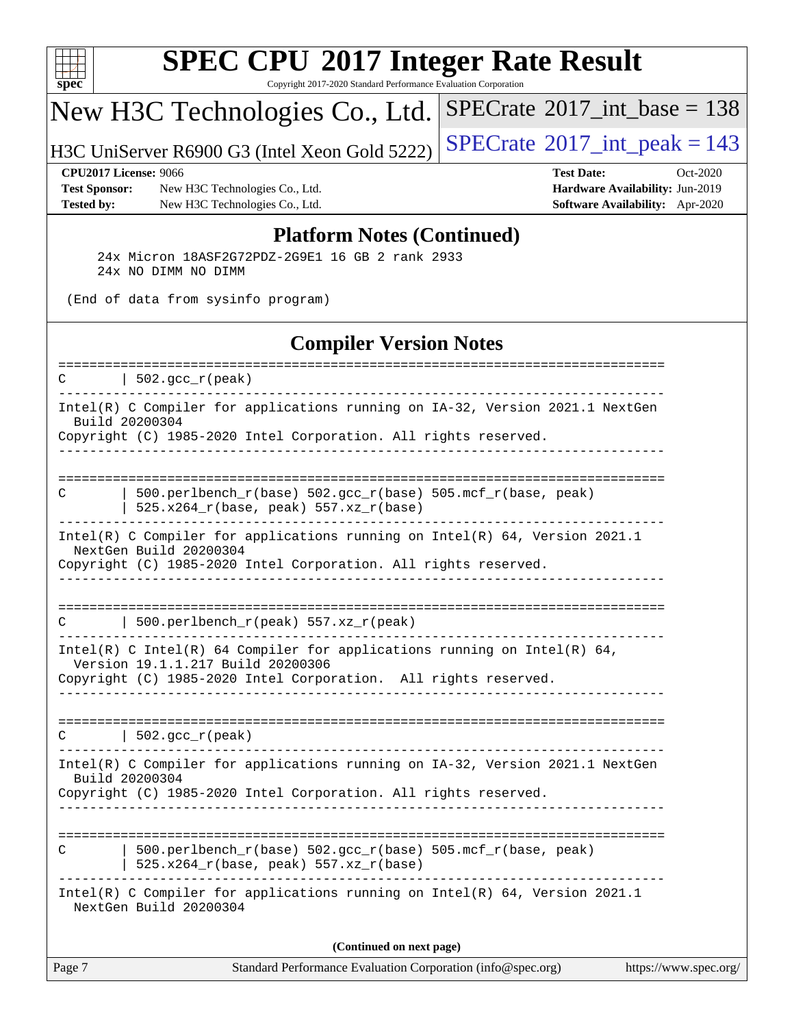

Copyright 2017-2020 Standard Performance Evaluation Corporation

## New H3C Technologies Co., Ltd.

H3C UniServer R6900 G3 (Intel Xeon Gold 5222) [SPECrate](http://www.spec.org/auto/cpu2017/Docs/result-fields.html#SPECrate2017intpeak)<sup>®</sup>[2017\\_int\\_peak = 1](http://www.spec.org/auto/cpu2017/Docs/result-fields.html#SPECrate2017intpeak)43

 $SPECrate$ <sup>®</sup>[2017\\_int\\_base =](http://www.spec.org/auto/cpu2017/Docs/result-fields.html#SPECrate2017intbase) 138

**[Test Sponsor:](http://www.spec.org/auto/cpu2017/Docs/result-fields.html#TestSponsor)** New H3C Technologies Co., Ltd. **[Hardware Availability:](http://www.spec.org/auto/cpu2017/Docs/result-fields.html#HardwareAvailability)** Jun-2019 **[Tested by:](http://www.spec.org/auto/cpu2017/Docs/result-fields.html#Testedby)** New H3C Technologies Co., Ltd. **[Software Availability:](http://www.spec.org/auto/cpu2017/Docs/result-fields.html#SoftwareAvailability)** Apr-2020

**[CPU2017 License:](http://www.spec.org/auto/cpu2017/Docs/result-fields.html#CPU2017License)** 9066 **[Test Date:](http://www.spec.org/auto/cpu2017/Docs/result-fields.html#TestDate)** Oct-2020

#### **[Platform Notes \(Continued\)](http://www.spec.org/auto/cpu2017/Docs/result-fields.html#PlatformNotes)**

 24x Micron 18ASF2G72PDZ-2G9E1 16 GB 2 rank 2933 24x NO DIMM NO DIMM

(End of data from sysinfo program)

#### **[Compiler Version Notes](http://www.spec.org/auto/cpu2017/Docs/result-fields.html#CompilerVersionNotes)**

| Intel(R) C Compiler for applications running on IA-32, Version 2021.1 NextGen<br>Build 20200304<br>Copyright (C) 1985-2020 Intel Corporation. All rights reserved.<br>---------------------------<br>500.perlbench_r(base) 502.gcc_r(base) 505.mcf_r(base, peak)<br>C<br>525.x264_r(base, peak) 557.xz_r(base)<br>Intel(R) C Compiler for applications running on $Intel(R) 64$ , Version 2021.1<br>NextGen Build 20200304<br>Copyright (C) 1985-2020 Intel Corporation. All rights reserved.<br>500.perlbench_r(peak) 557.xz_r(peak)<br>C<br>Intel(R) C Intel(R) 64 Compiler for applications running on Intel(R) 64,<br>Version 19.1.1.217 Build 20200306<br>Copyright (C) 1985-2020 Intel Corporation. All rights reserved.<br>$ 502.\mathrm{gcc\_r}(\mathrm{peak}) $<br>$\mathcal{C}$<br>Intel(R) C Compiler for applications running on IA-32, Version 2021.1 NextGen<br>Build 20200304<br>Copyright (C) 1985-2020 Intel Corporation. All rights reserved.<br>------------------------<br>$500. perlbench_r(base) 502. gcc_r(base) 505.mcf_r(base, peak)$<br>C<br>525.x264_r(base, peak) 557.xz_r(base)<br>Intel(R) C Compiler for applications running on Intel(R) 64, Version 2021.1<br>NextGen Build 20200304<br>(Continued on next page) | Page 7 | Standard Performance Evaluation Corporation (info@spec.org)<br>https://www.spec.org/ |
|---------------------------------------------------------------------------------------------------------------------------------------------------------------------------------------------------------------------------------------------------------------------------------------------------------------------------------------------------------------------------------------------------------------------------------------------------------------------------------------------------------------------------------------------------------------------------------------------------------------------------------------------------------------------------------------------------------------------------------------------------------------------------------------------------------------------------------------------------------------------------------------------------------------------------------------------------------------------------------------------------------------------------------------------------------------------------------------------------------------------------------------------------------------------------------------------------------------------------------------------------|--------|--------------------------------------------------------------------------------------|
|                                                                                                                                                                                                                                                                                                                                                                                                                                                                                                                                                                                                                                                                                                                                                                                                                                                                                                                                                                                                                                                                                                                                                                                                                                                   |        |                                                                                      |
|                                                                                                                                                                                                                                                                                                                                                                                                                                                                                                                                                                                                                                                                                                                                                                                                                                                                                                                                                                                                                                                                                                                                                                                                                                                   |        |                                                                                      |
|                                                                                                                                                                                                                                                                                                                                                                                                                                                                                                                                                                                                                                                                                                                                                                                                                                                                                                                                                                                                                                                                                                                                                                                                                                                   |        |                                                                                      |
|                                                                                                                                                                                                                                                                                                                                                                                                                                                                                                                                                                                                                                                                                                                                                                                                                                                                                                                                                                                                                                                                                                                                                                                                                                                   |        |                                                                                      |
|                                                                                                                                                                                                                                                                                                                                                                                                                                                                                                                                                                                                                                                                                                                                                                                                                                                                                                                                                                                                                                                                                                                                                                                                                                                   |        |                                                                                      |
|                                                                                                                                                                                                                                                                                                                                                                                                                                                                                                                                                                                                                                                                                                                                                                                                                                                                                                                                                                                                                                                                                                                                                                                                                                                   |        |                                                                                      |
|                                                                                                                                                                                                                                                                                                                                                                                                                                                                                                                                                                                                                                                                                                                                                                                                                                                                                                                                                                                                                                                                                                                                                                                                                                                   |        |                                                                                      |
|                                                                                                                                                                                                                                                                                                                                                                                                                                                                                                                                                                                                                                                                                                                                                                                                                                                                                                                                                                                                                                                                                                                                                                                                                                                   |        |                                                                                      |
|                                                                                                                                                                                                                                                                                                                                                                                                                                                                                                                                                                                                                                                                                                                                                                                                                                                                                                                                                                                                                                                                                                                                                                                                                                                   |        |                                                                                      |
|                                                                                                                                                                                                                                                                                                                                                                                                                                                                                                                                                                                                                                                                                                                                                                                                                                                                                                                                                                                                                                                                                                                                                                                                                                                   |        |                                                                                      |
| ====================<br>-------------------------------                                                                                                                                                                                                                                                                                                                                                                                                                                                                                                                                                                                                                                                                                                                                                                                                                                                                                                                                                                                                                                                                                                                                                                                           | C      | $\vert$ 502.gcc_r(peak)                                                              |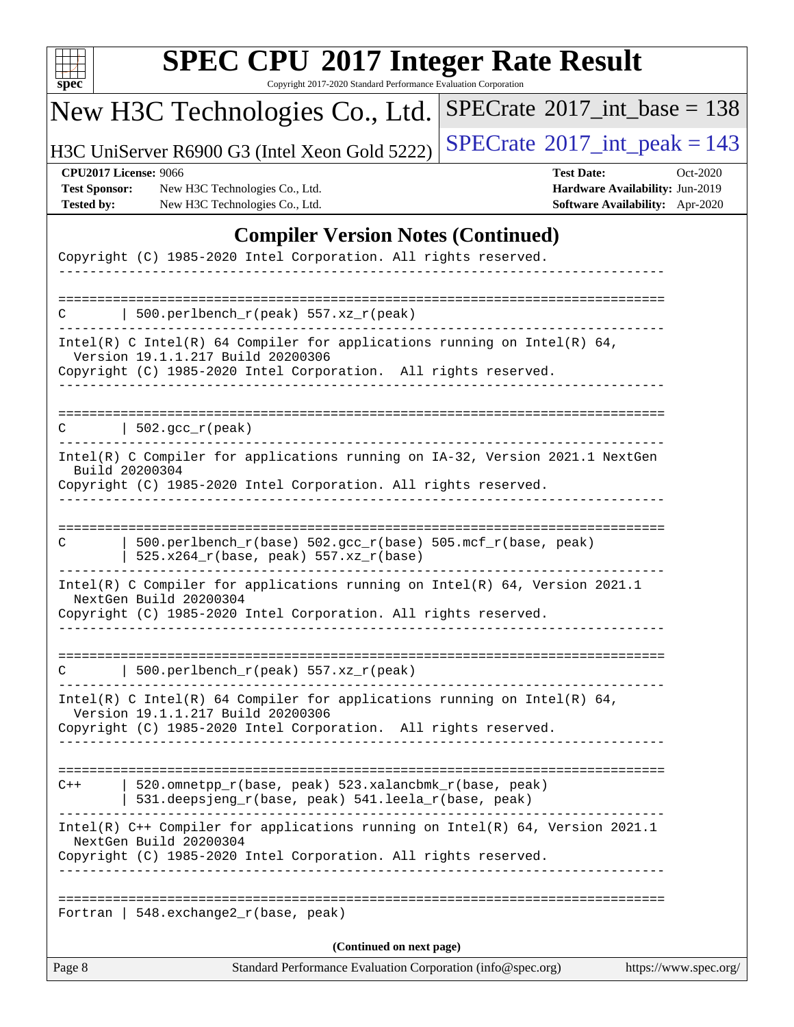| u<br>r |  |  |  |  |  |
|--------|--|--|--|--|--|

Copyright 2017-2020 Standard Performance Evaluation Corporation

# New H3C Technologies Co., Ltd.

H3C UniServer R6900 G3 (Intel Xeon Gold 5222)  $\left|$  [SPECrate](http://www.spec.org/auto/cpu2017/Docs/result-fields.html#SPECrate2017intpeak)<sup>®</sup>[2017\\_int\\_peak = 1](http://www.spec.org/auto/cpu2017/Docs/result-fields.html#SPECrate2017intpeak)43

 $SPECrate$ <sup>®</sup>[2017\\_int\\_base =](http://www.spec.org/auto/cpu2017/Docs/result-fields.html#SPECrate2017intbase) 138

**[Test Sponsor:](http://www.spec.org/auto/cpu2017/Docs/result-fields.html#TestSponsor)** New H3C Technologies Co., Ltd. **[Hardware Availability:](http://www.spec.org/auto/cpu2017/Docs/result-fields.html#HardwareAvailability)** Jun-2019 **[Tested by:](http://www.spec.org/auto/cpu2017/Docs/result-fields.html#Testedby)** New H3C Technologies Co., Ltd. **[Software Availability:](http://www.spec.org/auto/cpu2017/Docs/result-fields.html#SoftwareAvailability)** Apr-2020

**[CPU2017 License:](http://www.spec.org/auto/cpu2017/Docs/result-fields.html#CPU2017License)** 9066 **[Test Date:](http://www.spec.org/auto/cpu2017/Docs/result-fields.html#TestDate)** Oct-2020

### **[Compiler Version Notes \(Continued\)](http://www.spec.org/auto/cpu2017/Docs/result-fields.html#CompilerVersionNotes)**

| Page 8                                                          | Standard Performance Evaluation Corporation (info@spec.org)                                                                                                                      | https://www.spec.org/ |
|-----------------------------------------------------------------|----------------------------------------------------------------------------------------------------------------------------------------------------------------------------------|-----------------------|
|                                                                 | (Continued on next page)                                                                                                                                                         |                       |
|                                                                 | Fortran   548. exchange $2\lfloor r(\text{base}, \text{peak}) \rfloor$                                                                                                           |                       |
|                                                                 | Intel(R) C++ Compiler for applications running on Intel(R) 64, Version 2021.1<br>NextGen Build 20200304<br>Copyright (C) 1985-2020 Intel Corporation. All rights reserved.       |                       |
| $C++$                                                           | ====================================<br>520.omnetpp_r(base, peak) 523.xalancbmk_r(base, peak)<br>531.deepsjeng_r(base, peak) 541.leela_r(base, peak)<br>----------------         |                       |
|                                                                 | Intel(R) C Intel(R) 64 Compiler for applications running on Intel(R) 64,<br>Version 19.1.1.217 Build 20200306<br>Copyright (C) 1985-2020 Intel Corporation. All rights reserved. |                       |
|                                                                 | 500.perlbench_r(peak) 557.xz_r(peak)                                                                                                                                             |                       |
|                                                                 | Intel(R) C Compiler for applications running on Intel(R) $64$ , Version 2021.1<br>NextGen Build 20200304<br>Copyright (C) 1985-2020 Intel Corporation. All rights reserved.      |                       |
| C                                                               | 500.perlbench_r(base) 502.gcc_r(base) 505.mcf_r(base, peak)<br>525.x264_r(base, peak) 557.xz_r(base)                                                                             |                       |
|                                                                 | Intel(R) C Compiler for applications running on IA-32, Version 2021.1 NextGen<br>Build 20200304<br>Copyright (C) 1985-2020 Intel Corporation. All rights reserved.               |                       |
| C                                                               | 502.gcc_r(peak)                                                                                                                                                                  |                       |
|                                                                 |                                                                                                                                                                                  |                       |
|                                                                 | Intel(R) C Intel(R) 64 Compiler for applications running on Intel(R) 64,<br>Version 19.1.1.217 Build 20200306<br>Copyright (C) 1985-2020 Intel Corporation. All rights reserved. |                       |
|                                                                 | 500.perlbench_r(peak) 557.xz_r(peak)                                                                                                                                             |                       |
| Copyright (C) 1985-2020 Intel Corporation. All rights reserved. |                                                                                                                                                                                  |                       |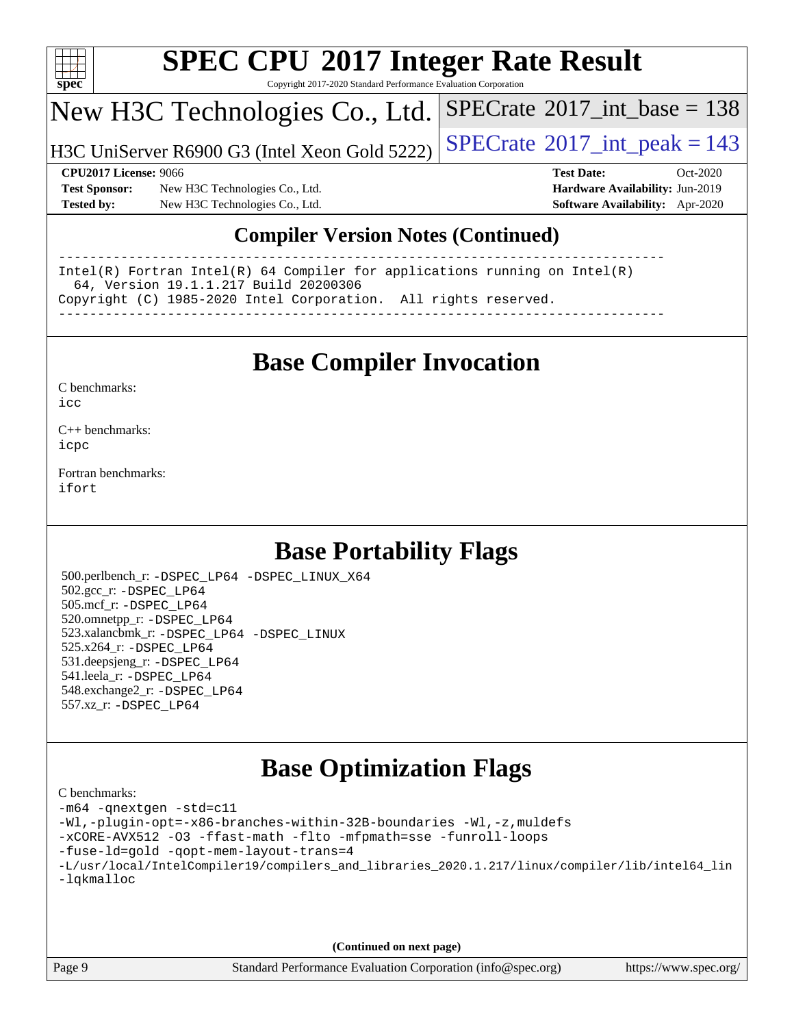

Copyright 2017-2020 Standard Performance Evaluation Corporation

## New H3C Technologies Co., Ltd.

H3C UniServer R6900 G3 (Intel Xeon Gold 5222)  $\left|$  [SPECrate](http://www.spec.org/auto/cpu2017/Docs/result-fields.html#SPECrate2017intpeak)®[2017\\_int\\_peak = 1](http://www.spec.org/auto/cpu2017/Docs/result-fields.html#SPECrate2017intpeak)43

 $SPECTate$ <sup>®</sup>[2017\\_int\\_base =](http://www.spec.org/auto/cpu2017/Docs/result-fields.html#SPECrate2017intbase) 138

**[Test Sponsor:](http://www.spec.org/auto/cpu2017/Docs/result-fields.html#TestSponsor)** New H3C Technologies Co., Ltd. **[Hardware Availability:](http://www.spec.org/auto/cpu2017/Docs/result-fields.html#HardwareAvailability)** Jun-2019 **[Tested by:](http://www.spec.org/auto/cpu2017/Docs/result-fields.html#Testedby)** New H3C Technologies Co., Ltd. **[Software Availability:](http://www.spec.org/auto/cpu2017/Docs/result-fields.html#SoftwareAvailability)** Apr-2020

**[CPU2017 License:](http://www.spec.org/auto/cpu2017/Docs/result-fields.html#CPU2017License)** 9066 **[Test Date:](http://www.spec.org/auto/cpu2017/Docs/result-fields.html#TestDate)** Oct-2020

### **[Compiler Version Notes \(Continued\)](http://www.spec.org/auto/cpu2017/Docs/result-fields.html#CompilerVersionNotes)**

------------------------------------------------------------------------------ Intel(R) Fortran Intel(R) 64 Compiler for applications running on Intel(R) 64, Version 19.1.1.217 Build 20200306 Copyright (C) 1985-2020 Intel Corporation. All rights reserved. ------------------------------------------------------------------------------

## **[Base Compiler Invocation](http://www.spec.org/auto/cpu2017/Docs/result-fields.html#BaseCompilerInvocation)**

[C benchmarks](http://www.spec.org/auto/cpu2017/Docs/result-fields.html#Cbenchmarks):  $i$ cc

[C++ benchmarks:](http://www.spec.org/auto/cpu2017/Docs/result-fields.html#CXXbenchmarks) [icpc](http://www.spec.org/cpu2017/results/res2020q4/cpu2017-20201028-24331.flags.html#user_CXXbase_intel_icpc_c510b6838c7f56d33e37e94d029a35b4a7bccf4766a728ee175e80a419847e808290a9b78be685c44ab727ea267ec2f070ec5dc83b407c0218cded6866a35d07)

[Fortran benchmarks](http://www.spec.org/auto/cpu2017/Docs/result-fields.html#Fortranbenchmarks): [ifort](http://www.spec.org/cpu2017/results/res2020q4/cpu2017-20201028-24331.flags.html#user_FCbase_intel_ifort_8111460550e3ca792625aed983ce982f94888b8b503583aa7ba2b8303487b4d8a21a13e7191a45c5fd58ff318f48f9492884d4413fa793fd88dd292cad7027ca)

## **[Base Portability Flags](http://www.spec.org/auto/cpu2017/Docs/result-fields.html#BasePortabilityFlags)**

 500.perlbench\_r: [-DSPEC\\_LP64](http://www.spec.org/cpu2017/results/res2020q4/cpu2017-20201028-24331.flags.html#b500.perlbench_r_basePORTABILITY_DSPEC_LP64) [-DSPEC\\_LINUX\\_X64](http://www.spec.org/cpu2017/results/res2020q4/cpu2017-20201028-24331.flags.html#b500.perlbench_r_baseCPORTABILITY_DSPEC_LINUX_X64) 502.gcc\_r: [-DSPEC\\_LP64](http://www.spec.org/cpu2017/results/res2020q4/cpu2017-20201028-24331.flags.html#suite_basePORTABILITY502_gcc_r_DSPEC_LP64) 505.mcf\_r: [-DSPEC\\_LP64](http://www.spec.org/cpu2017/results/res2020q4/cpu2017-20201028-24331.flags.html#suite_basePORTABILITY505_mcf_r_DSPEC_LP64) 520.omnetpp\_r: [-DSPEC\\_LP64](http://www.spec.org/cpu2017/results/res2020q4/cpu2017-20201028-24331.flags.html#suite_basePORTABILITY520_omnetpp_r_DSPEC_LP64) 523.xalancbmk\_r: [-DSPEC\\_LP64](http://www.spec.org/cpu2017/results/res2020q4/cpu2017-20201028-24331.flags.html#suite_basePORTABILITY523_xalancbmk_r_DSPEC_LP64) [-DSPEC\\_LINUX](http://www.spec.org/cpu2017/results/res2020q4/cpu2017-20201028-24331.flags.html#b523.xalancbmk_r_baseCXXPORTABILITY_DSPEC_LINUX) 525.x264\_r: [-DSPEC\\_LP64](http://www.spec.org/cpu2017/results/res2020q4/cpu2017-20201028-24331.flags.html#suite_basePORTABILITY525_x264_r_DSPEC_LP64) 531.deepsjeng\_r: [-DSPEC\\_LP64](http://www.spec.org/cpu2017/results/res2020q4/cpu2017-20201028-24331.flags.html#suite_basePORTABILITY531_deepsjeng_r_DSPEC_LP64) 541.leela\_r: [-DSPEC\\_LP64](http://www.spec.org/cpu2017/results/res2020q4/cpu2017-20201028-24331.flags.html#suite_basePORTABILITY541_leela_r_DSPEC_LP64) 548.exchange2\_r: [-DSPEC\\_LP64](http://www.spec.org/cpu2017/results/res2020q4/cpu2017-20201028-24331.flags.html#suite_basePORTABILITY548_exchange2_r_DSPEC_LP64) 557.xz\_r: [-DSPEC\\_LP64](http://www.spec.org/cpu2017/results/res2020q4/cpu2017-20201028-24331.flags.html#suite_basePORTABILITY557_xz_r_DSPEC_LP64)

## **[Base Optimization Flags](http://www.spec.org/auto/cpu2017/Docs/result-fields.html#BaseOptimizationFlags)**

| C benchmarks:                                                                                  |
|------------------------------------------------------------------------------------------------|
| -m64 -qnextgen -std=c11                                                                        |
| -Wl,-plugin-opt=-x86-branches-within-32B-boundaries -Wl,-z, muldefs                            |
| -xCORE-AVX512 -03 -ffast-math -flto -mfpmath=sse -funroll-loops                                |
| -fuse-ld=gold -qopt-mem-layout-trans=4                                                         |
| -L/usr/local/IntelCompiler19/compilers and libraries 2020.1.217/linux/compiler/lib/intel64 lin |
| -lqkmalloc                                                                                     |
|                                                                                                |
|                                                                                                |
|                                                                                                |

**(Continued on next page)**

Page 9 Standard Performance Evaluation Corporation [\(info@spec.org\)](mailto:info@spec.org) <https://www.spec.org/>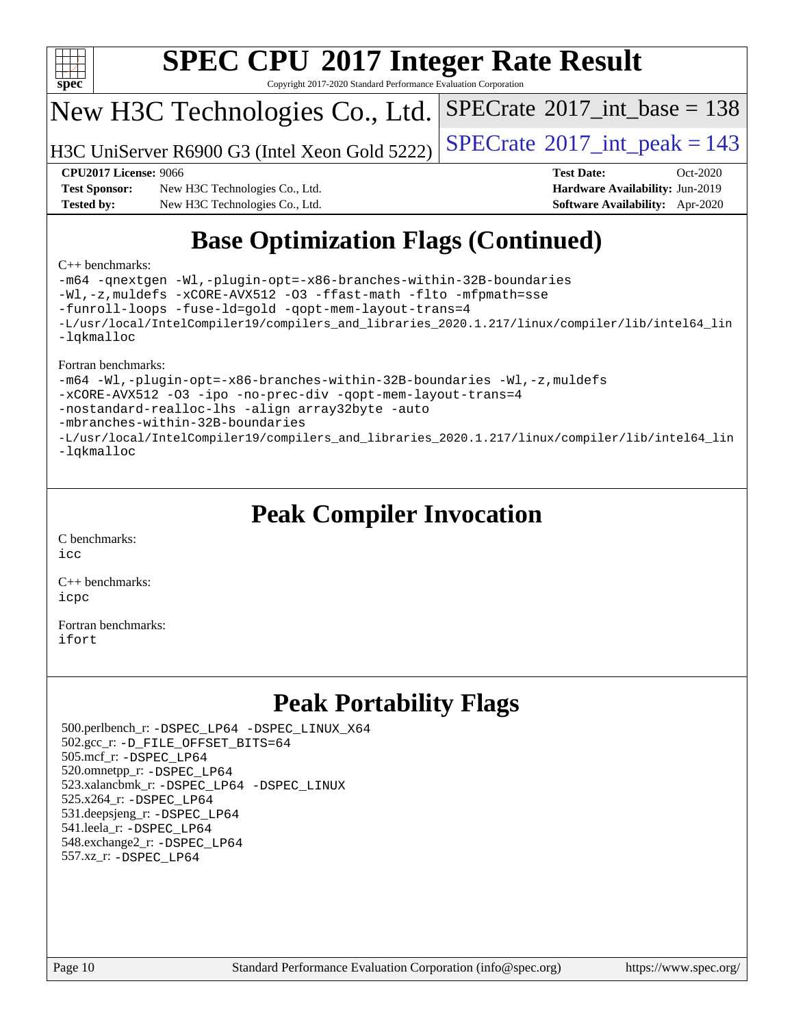

Copyright 2017-2020 Standard Performance Evaluation Corporation

## New H3C Technologies Co., Ltd.

H3C UniServer R6900 G3 (Intel Xeon Gold 5222)  $\vert$  [SPECrate](http://www.spec.org/auto/cpu2017/Docs/result-fields.html#SPECrate2017intpeak)®[2017\\_int\\_peak = 1](http://www.spec.org/auto/cpu2017/Docs/result-fields.html#SPECrate2017intpeak)43

 $SPECTate$ <sup>®</sup>[2017\\_int\\_base =](http://www.spec.org/auto/cpu2017/Docs/result-fields.html#SPECrate2017intbase) 138

**[Test Sponsor:](http://www.spec.org/auto/cpu2017/Docs/result-fields.html#TestSponsor)** New H3C Technologies Co., Ltd. **[Hardware Availability:](http://www.spec.org/auto/cpu2017/Docs/result-fields.html#HardwareAvailability)** Jun-2019 **[Tested by:](http://www.spec.org/auto/cpu2017/Docs/result-fields.html#Testedby)** New H3C Technologies Co., Ltd. **[Software Availability:](http://www.spec.org/auto/cpu2017/Docs/result-fields.html#SoftwareAvailability)** Apr-2020

**[CPU2017 License:](http://www.spec.org/auto/cpu2017/Docs/result-fields.html#CPU2017License)** 9066 **[Test Date:](http://www.spec.org/auto/cpu2017/Docs/result-fields.html#TestDate)** Oct-2020

# **[Base Optimization Flags \(Continued\)](http://www.spec.org/auto/cpu2017/Docs/result-fields.html#BaseOptimizationFlags)**

#### [C++ benchmarks:](http://www.spec.org/auto/cpu2017/Docs/result-fields.html#CXXbenchmarks)

[-m64](http://www.spec.org/cpu2017/results/res2020q4/cpu2017-20201028-24331.flags.html#user_CXXbase_m64-icc) [-qnextgen](http://www.spec.org/cpu2017/results/res2020q4/cpu2017-20201028-24331.flags.html#user_CXXbase_f-qnextgen) [-Wl,-plugin-opt=-x86-branches-within-32B-boundaries](http://www.spec.org/cpu2017/results/res2020q4/cpu2017-20201028-24331.flags.html#user_CXXbase_f-x86-branches-within-32B-boundaries_0098b4e4317ae60947b7b728078a624952a08ac37a3c797dfb4ffeb399e0c61a9dd0f2f44ce917e9361fb9076ccb15e7824594512dd315205382d84209e912f3) [-Wl,-z,muldefs](http://www.spec.org/cpu2017/results/res2020q4/cpu2017-20201028-24331.flags.html#user_CXXbase_link_force_multiple1_b4cbdb97b34bdee9ceefcfe54f4c8ea74255f0b02a4b23e853cdb0e18eb4525ac79b5a88067c842dd0ee6996c24547a27a4b99331201badda8798ef8a743f577) [-xCORE-AVX512](http://www.spec.org/cpu2017/results/res2020q4/cpu2017-20201028-24331.flags.html#user_CXXbase_f-xCORE-AVX512) [-O3](http://www.spec.org/cpu2017/results/res2020q4/cpu2017-20201028-24331.flags.html#user_CXXbase_f-O3) [-ffast-math](http://www.spec.org/cpu2017/results/res2020q4/cpu2017-20201028-24331.flags.html#user_CXXbase_f-ffast-math) [-flto](http://www.spec.org/cpu2017/results/res2020q4/cpu2017-20201028-24331.flags.html#user_CXXbase_f-flto) [-mfpmath=sse](http://www.spec.org/cpu2017/results/res2020q4/cpu2017-20201028-24331.flags.html#user_CXXbase_f-mfpmath_70eb8fac26bde974f8ab713bc9086c5621c0b8d2f6c86f38af0bd7062540daf19db5f3a066d8c6684be05d84c9b6322eb3b5be6619d967835195b93d6c02afa1) [-funroll-loops](http://www.spec.org/cpu2017/results/res2020q4/cpu2017-20201028-24331.flags.html#user_CXXbase_f-funroll-loops) [-fuse-ld=gold](http://www.spec.org/cpu2017/results/res2020q4/cpu2017-20201028-24331.flags.html#user_CXXbase_f-fuse-ld_920b3586e2b8c6e0748b9c84fa9b744736ba725a32cab14ad8f3d4ad28eecb2f59d1144823d2e17006539a88734fe1fc08fc3035f7676166309105a78aaabc32) [-qopt-mem-layout-trans=4](http://www.spec.org/cpu2017/results/res2020q4/cpu2017-20201028-24331.flags.html#user_CXXbase_f-qopt-mem-layout-trans_fa39e755916c150a61361b7846f310bcdf6f04e385ef281cadf3647acec3f0ae266d1a1d22d972a7087a248fd4e6ca390a3634700869573d231a252c784941a8) [-L/usr/local/IntelCompiler19/compilers\\_and\\_libraries\\_2020.1.217/linux/compiler/lib/intel64\\_lin](http://www.spec.org/cpu2017/results/res2020q4/cpu2017-20201028-24331.flags.html#user_CXXbase_linkpath_2cb6f503891ebf8baee7515f4e7d4ec1217444d1d05903cc0091ac4158de400651d2b2313a9fa414cb8a8f0e16ab029634f5c6db340f400369c190d4db8a54a0) [-lqkmalloc](http://www.spec.org/cpu2017/results/res2020q4/cpu2017-20201028-24331.flags.html#user_CXXbase_qkmalloc_link_lib_79a818439969f771c6bc311cfd333c00fc099dad35c030f5aab9dda831713d2015205805422f83de8875488a2991c0a156aaa600e1f9138f8fc37004abc96dc5)

#### [Fortran benchmarks:](http://www.spec.org/auto/cpu2017/Docs/result-fields.html#Fortranbenchmarks)

[-m64](http://www.spec.org/cpu2017/results/res2020q4/cpu2017-20201028-24331.flags.html#user_FCbase_m64-icc) [-Wl,-plugin-opt=-x86-branches-within-32B-boundaries](http://www.spec.org/cpu2017/results/res2020q4/cpu2017-20201028-24331.flags.html#user_FCbase_f-x86-branches-within-32B-boundaries_0098b4e4317ae60947b7b728078a624952a08ac37a3c797dfb4ffeb399e0c61a9dd0f2f44ce917e9361fb9076ccb15e7824594512dd315205382d84209e912f3) [-Wl,-z,muldefs](http://www.spec.org/cpu2017/results/res2020q4/cpu2017-20201028-24331.flags.html#user_FCbase_link_force_multiple1_b4cbdb97b34bdee9ceefcfe54f4c8ea74255f0b02a4b23e853cdb0e18eb4525ac79b5a88067c842dd0ee6996c24547a27a4b99331201badda8798ef8a743f577) [-xCORE-AVX512](http://www.spec.org/cpu2017/results/res2020q4/cpu2017-20201028-24331.flags.html#user_FCbase_f-xCORE-AVX512) [-O3](http://www.spec.org/cpu2017/results/res2020q4/cpu2017-20201028-24331.flags.html#user_FCbase_f-O3) [-ipo](http://www.spec.org/cpu2017/results/res2020q4/cpu2017-20201028-24331.flags.html#user_FCbase_f-ipo) [-no-prec-div](http://www.spec.org/cpu2017/results/res2020q4/cpu2017-20201028-24331.flags.html#user_FCbase_f-no-prec-div) [-qopt-mem-layout-trans=4](http://www.spec.org/cpu2017/results/res2020q4/cpu2017-20201028-24331.flags.html#user_FCbase_f-qopt-mem-layout-trans_fa39e755916c150a61361b7846f310bcdf6f04e385ef281cadf3647acec3f0ae266d1a1d22d972a7087a248fd4e6ca390a3634700869573d231a252c784941a8) [-nostandard-realloc-lhs](http://www.spec.org/cpu2017/results/res2020q4/cpu2017-20201028-24331.flags.html#user_FCbase_f_2003_std_realloc_82b4557e90729c0f113870c07e44d33d6f5a304b4f63d4c15d2d0f1fab99f5daaed73bdb9275d9ae411527f28b936061aa8b9c8f2d63842963b95c9dd6426b8a) [-align array32byte](http://www.spec.org/cpu2017/results/res2020q4/cpu2017-20201028-24331.flags.html#user_FCbase_align_array32byte_b982fe038af199962ba9a80c053b8342c548c85b40b8e86eb3cc33dee0d7986a4af373ac2d51c3f7cf710a18d62fdce2948f201cd044323541f22fc0fffc51b6) [-auto](http://www.spec.org/cpu2017/results/res2020q4/cpu2017-20201028-24331.flags.html#user_FCbase_f-auto) [-mbranches-within-32B-boundaries](http://www.spec.org/cpu2017/results/res2020q4/cpu2017-20201028-24331.flags.html#user_FCbase_f-mbranches-within-32B-boundaries) [-L/usr/local/IntelCompiler19/compilers\\_and\\_libraries\\_2020.1.217/linux/compiler/lib/intel64\\_lin](http://www.spec.org/cpu2017/results/res2020q4/cpu2017-20201028-24331.flags.html#user_FCbase_linkpath_2cb6f503891ebf8baee7515f4e7d4ec1217444d1d05903cc0091ac4158de400651d2b2313a9fa414cb8a8f0e16ab029634f5c6db340f400369c190d4db8a54a0) [-lqkmalloc](http://www.spec.org/cpu2017/results/res2020q4/cpu2017-20201028-24331.flags.html#user_FCbase_qkmalloc_link_lib_79a818439969f771c6bc311cfd333c00fc099dad35c030f5aab9dda831713d2015205805422f83de8875488a2991c0a156aaa600e1f9138f8fc37004abc96dc5)

## **[Peak Compiler Invocation](http://www.spec.org/auto/cpu2017/Docs/result-fields.html#PeakCompilerInvocation)**

[C benchmarks](http://www.spec.org/auto/cpu2017/Docs/result-fields.html#Cbenchmarks): [icc](http://www.spec.org/cpu2017/results/res2020q4/cpu2017-20201028-24331.flags.html#user_CCpeak_intel_icc_66fc1ee009f7361af1fbd72ca7dcefbb700085f36577c54f309893dd4ec40d12360134090235512931783d35fd58c0460139e722d5067c5574d8eaf2b3e37e92)

[C++ benchmarks:](http://www.spec.org/auto/cpu2017/Docs/result-fields.html#CXXbenchmarks) [icpc](http://www.spec.org/cpu2017/results/res2020q4/cpu2017-20201028-24331.flags.html#user_CXXpeak_intel_icpc_c510b6838c7f56d33e37e94d029a35b4a7bccf4766a728ee175e80a419847e808290a9b78be685c44ab727ea267ec2f070ec5dc83b407c0218cded6866a35d07)

[Fortran benchmarks](http://www.spec.org/auto/cpu2017/Docs/result-fields.html#Fortranbenchmarks): [ifort](http://www.spec.org/cpu2017/results/res2020q4/cpu2017-20201028-24331.flags.html#user_FCpeak_intel_ifort_8111460550e3ca792625aed983ce982f94888b8b503583aa7ba2b8303487b4d8a21a13e7191a45c5fd58ff318f48f9492884d4413fa793fd88dd292cad7027ca)

## **[Peak Portability Flags](http://www.spec.org/auto/cpu2017/Docs/result-fields.html#PeakPortabilityFlags)**

 500.perlbench\_r: [-DSPEC\\_LP64](http://www.spec.org/cpu2017/results/res2020q4/cpu2017-20201028-24331.flags.html#b500.perlbench_r_peakPORTABILITY_DSPEC_LP64) [-DSPEC\\_LINUX\\_X64](http://www.spec.org/cpu2017/results/res2020q4/cpu2017-20201028-24331.flags.html#b500.perlbench_r_peakCPORTABILITY_DSPEC_LINUX_X64) 502.gcc\_r: [-D\\_FILE\\_OFFSET\\_BITS=64](http://www.spec.org/cpu2017/results/res2020q4/cpu2017-20201028-24331.flags.html#user_peakPORTABILITY502_gcc_r_file_offset_bits_64_5ae949a99b284ddf4e95728d47cb0843d81b2eb0e18bdfe74bbf0f61d0b064f4bda2f10ea5eb90e1dcab0e84dbc592acfc5018bc955c18609f94ddb8d550002c) 505.mcf\_r: [-DSPEC\\_LP64](http://www.spec.org/cpu2017/results/res2020q4/cpu2017-20201028-24331.flags.html#suite_peakPORTABILITY505_mcf_r_DSPEC_LP64) 520.omnetpp\_r: [-DSPEC\\_LP64](http://www.spec.org/cpu2017/results/res2020q4/cpu2017-20201028-24331.flags.html#suite_peakPORTABILITY520_omnetpp_r_DSPEC_LP64) 523.xalancbmk\_r: [-DSPEC\\_LP64](http://www.spec.org/cpu2017/results/res2020q4/cpu2017-20201028-24331.flags.html#suite_peakPORTABILITY523_xalancbmk_r_DSPEC_LP64) [-DSPEC\\_LINUX](http://www.spec.org/cpu2017/results/res2020q4/cpu2017-20201028-24331.flags.html#b523.xalancbmk_r_peakCXXPORTABILITY_DSPEC_LINUX) 525.x264\_r: [-DSPEC\\_LP64](http://www.spec.org/cpu2017/results/res2020q4/cpu2017-20201028-24331.flags.html#suite_peakPORTABILITY525_x264_r_DSPEC_LP64) 531.deepsjeng\_r: [-DSPEC\\_LP64](http://www.spec.org/cpu2017/results/res2020q4/cpu2017-20201028-24331.flags.html#suite_peakPORTABILITY531_deepsjeng_r_DSPEC_LP64) 541.leela\_r: [-DSPEC\\_LP64](http://www.spec.org/cpu2017/results/res2020q4/cpu2017-20201028-24331.flags.html#suite_peakPORTABILITY541_leela_r_DSPEC_LP64) 548.exchange2\_r: [-DSPEC\\_LP64](http://www.spec.org/cpu2017/results/res2020q4/cpu2017-20201028-24331.flags.html#suite_peakPORTABILITY548_exchange2_r_DSPEC_LP64) 557.xz\_r: [-DSPEC\\_LP64](http://www.spec.org/cpu2017/results/res2020q4/cpu2017-20201028-24331.flags.html#suite_peakPORTABILITY557_xz_r_DSPEC_LP64)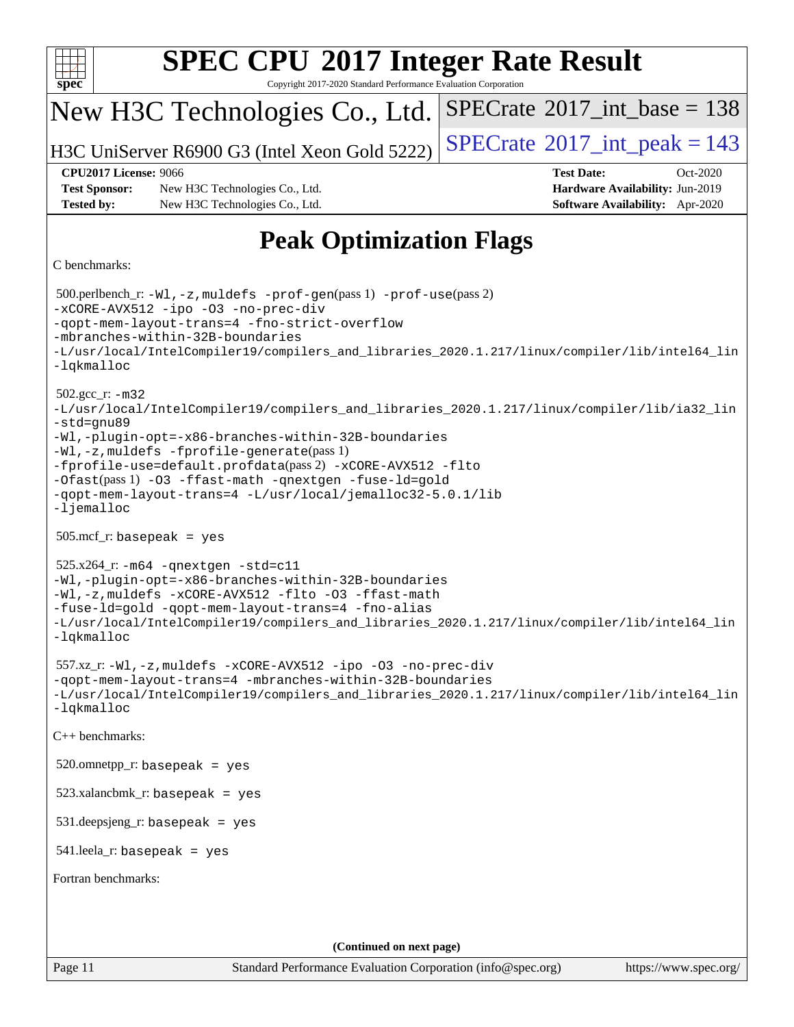| <b>SPEC CPU®2017 Integer Rate Result</b><br>spec <sup>®</sup><br>Copyright 2017-2020 Standard Performance Evaluation Corporation                                                                                                                                                                                                                                                                                                              |                                                                                                            |  |  |  |  |  |
|-----------------------------------------------------------------------------------------------------------------------------------------------------------------------------------------------------------------------------------------------------------------------------------------------------------------------------------------------------------------------------------------------------------------------------------------------|------------------------------------------------------------------------------------------------------------|--|--|--|--|--|
| New H3C Technologies Co., Ltd.                                                                                                                                                                                                                                                                                                                                                                                                                | $SPECrate^{\circledast}2017\_int\_base = 138$                                                              |  |  |  |  |  |
| H3C UniServer R6900 G3 (Intel Xeon Gold 5222)                                                                                                                                                                                                                                                                                                                                                                                                 | $SPECrate^{\circ}2017\_int\_peak = 143$                                                                    |  |  |  |  |  |
| <b>CPU2017 License: 9066</b><br><b>Test Sponsor:</b><br>New H3C Technologies Co., Ltd.<br><b>Tested by:</b><br>New H3C Technologies Co., Ltd.                                                                                                                                                                                                                                                                                                 | <b>Test Date:</b><br>Oct-2020<br>Hardware Availability: Jun-2019<br><b>Software Availability:</b> Apr-2020 |  |  |  |  |  |
| <b>Peak Optimization Flags</b>                                                                                                                                                                                                                                                                                                                                                                                                                |                                                                                                            |  |  |  |  |  |
| C benchmarks:                                                                                                                                                                                                                                                                                                                                                                                                                                 |                                                                                                            |  |  |  |  |  |
| 500.perlbench_r: -Wl, -z, muldefs -prof-gen(pass 1) -prof-use(pass 2)<br>-xCORE-AVX512 -ipo -03 -no-prec-div<br>-gopt-mem-layout-trans=4 -fno-strict-overflow<br>-mbranches-within-32B-boundaries<br>-L/usr/local/IntelCompiler19/compilers_and_libraries_2020.1.217/linux/compiler/lib/intel64_lin<br>-lqkmalloc                                                                                                                             |                                                                                                            |  |  |  |  |  |
| $502.gcc_r$ : $-m32$<br>-L/usr/local/IntelCompiler19/compilers_and_libraries_2020.1.217/linux/compiler/lib/ia32_lin<br>-std=gnu89<br>-Wl,-plugin-opt=-x86-branches-within-32B-boundaries<br>-Wl,-z, muldefs -fprofile-generate(pass 1)<br>-fprofile-use=default.profdata(pass 2) -xCORE-AVX512 -flto<br>-Ofast(pass 1) -03 -ffast-math -qnextgen -fuse-ld=gold<br>-qopt-mem-layout-trans=4 -L/usr/local/jemalloc32-5.0.1/lib<br>$-lj$ emalloc |                                                                                                            |  |  |  |  |  |
| $505.\text{mcf}_r$ : basepeak = yes                                                                                                                                                                                                                                                                                                                                                                                                           |                                                                                                            |  |  |  |  |  |
| $525.x264$ _r: $-m64$ -qnextgen -std=c11<br>-Wl,-plugin-opt=-x86-branches-within-32B-boundaries<br>-Wl,-z, muldefs -xCORE-AVX512 -flto -03 -ffast-math<br>-fuse-ld=gold -qopt-mem-layout-trans=4 -fno-alias<br>-L/usr/local/IntelCompiler19/compilers_and_libraries_2020.1.217/linux/compiler/lib/intel64_lin<br>$-lq$ kmalloc                                                                                                                |                                                                                                            |  |  |  |  |  |
| 557.xz_r:-Wl,-z, muldefs -xCORE-AVX512 -ipo -03 -no-prec-div<br>-qopt-mem-layout-trans=4 -mbranches-within-32B-boundaries<br>-L/usr/local/IntelCompiler19/compilers_and_libraries_2020.1.217/linux/compiler/lib/intel64_lin<br>$-lq$ kmalloc                                                                                                                                                                                                  |                                                                                                            |  |  |  |  |  |
| C++ benchmarks:                                                                                                                                                                                                                                                                                                                                                                                                                               |                                                                                                            |  |  |  |  |  |
| $520.$ omnetpp_r: basepeak = yes                                                                                                                                                                                                                                                                                                                                                                                                              |                                                                                                            |  |  |  |  |  |
| $523.xalanchmk_r: basepeak = yes$                                                                                                                                                                                                                                                                                                                                                                                                             |                                                                                                            |  |  |  |  |  |
| $531$ .deepsjeng_r: basepeak = yes                                                                                                                                                                                                                                                                                                                                                                                                            |                                                                                                            |  |  |  |  |  |
| $541$ .leela_r: basepeak = yes                                                                                                                                                                                                                                                                                                                                                                                                                |                                                                                                            |  |  |  |  |  |
| Fortran benchmarks:                                                                                                                                                                                                                                                                                                                                                                                                                           |                                                                                                            |  |  |  |  |  |
|                                                                                                                                                                                                                                                                                                                                                                                                                                               |                                                                                                            |  |  |  |  |  |
| (Continued on next page)                                                                                                                                                                                                                                                                                                                                                                                                                      |                                                                                                            |  |  |  |  |  |
| Page 11<br>Standard Performance Evaluation Corporation (info@spec.org)                                                                                                                                                                                                                                                                                                                                                                        | https://www.spec.org/                                                                                      |  |  |  |  |  |